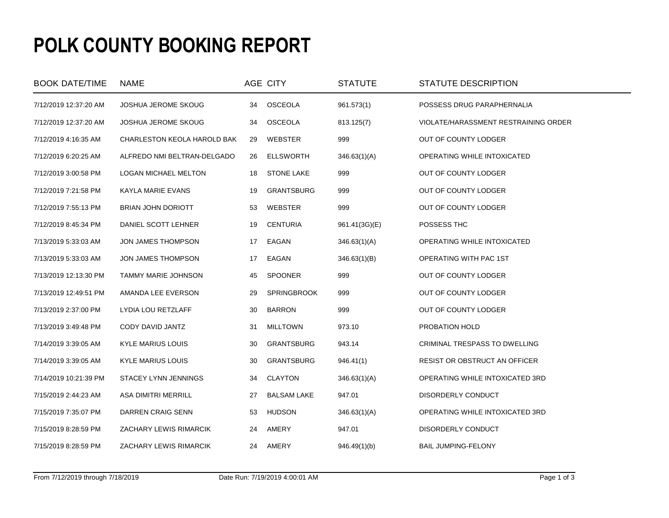## **POLK COUNTY BOOKING REPORT**

| <b>BOOK DATE/TIME</b> | <b>NAME</b>                 |    | AGE CITY           | <b>STATUTE</b> | STATUTE DESCRIPTION                  |
|-----------------------|-----------------------------|----|--------------------|----------------|--------------------------------------|
| 7/12/2019 12:37:20 AM | <b>JOSHUA JEROME SKOUG</b>  | 34 | OSCEOLA            | 961.573(1)     | POSSESS DRUG PARAPHERNALIA           |
| 7/12/2019 12:37:20 AM | <b>JOSHUA JEROME SKOUG</b>  | 34 | <b>OSCEOLA</b>     | 813.125(7)     | VIOLATE/HARASSMENT RESTRAINING ORDER |
| 7/12/2019 4:16:35 AM  | CHARLESTON KEOLA HAROLD BAK | 29 | <b>WEBSTER</b>     | 999            | OUT OF COUNTY LODGER                 |
| 7/12/2019 6:20:25 AM  | ALFREDO NMI BELTRAN-DELGADO | 26 | <b>ELLSWORTH</b>   | 346.63(1)(A)   | OPERATING WHILE INTOXICATED          |
| 7/12/2019 3:00:58 PM  | LOGAN MICHAEL MELTON        | 18 | <b>STONE LAKE</b>  | 999            | OUT OF COUNTY LODGER                 |
| 7/12/2019 7:21:58 PM  | <b>KAYLA MARIE EVANS</b>    | 19 | <b>GRANTSBURG</b>  | 999            | OUT OF COUNTY LODGER                 |
| 7/12/2019 7:55:13 PM  | <b>BRIAN JOHN DORIOTT</b>   | 53 | WEBSTER            | 999            | OUT OF COUNTY LODGER                 |
| 7/12/2019 8:45:34 PM  | DANIEL SCOTT LEHNER         | 19 | <b>CENTURIA</b>    | 961.41(3G)(E)  | POSSESS THC                          |
| 7/13/2019 5:33:03 AM  | JON JAMES THOMPSON          | 17 | EAGAN              | 346.63(1)(A)   | OPERATING WHILE INTOXICATED          |
| 7/13/2019 5:33:03 AM  | JON JAMES THOMPSON          | 17 | EAGAN              | 346.63(1)(B)   | OPERATING WITH PAC 1ST               |
| 7/13/2019 12:13:30 PM | <b>TAMMY MARIE JOHNSON</b>  | 45 | <b>SPOONER</b>     | 999            | OUT OF COUNTY LODGER                 |
| 7/13/2019 12:49:51 PM | AMANDA LEE EVERSON          | 29 | <b>SPRINGBROOK</b> | 999            | OUT OF COUNTY LODGER                 |
| 7/13/2019 2:37:00 PM  | LYDIA LOU RETZLAFF          | 30 | <b>BARRON</b>      | 999            | OUT OF COUNTY LODGER                 |
| 7/13/2019 3:49:48 PM  | CODY DAVID JANTZ            | 31 | <b>MILLTOWN</b>    | 973.10         | PROBATION HOLD                       |
| 7/14/2019 3:39:05 AM  | <b>KYLE MARIUS LOUIS</b>    | 30 | <b>GRANTSBURG</b>  | 943.14         | CRIMINAL TRESPASS TO DWELLING        |
| 7/14/2019 3:39:05 AM  | <b>KYLE MARIUS LOUIS</b>    | 30 | <b>GRANTSBURG</b>  | 946.41(1)      | RESIST OR OBSTRUCT AN OFFICER        |
| 7/14/2019 10:21:39 PM | STACEY LYNN JENNINGS        | 34 | <b>CLAYTON</b>     | 346.63(1)(A)   | OPERATING WHILE INTOXICATED 3RD      |
| 7/15/2019 2:44:23 AM  | ASA DIMITRI MERRILL         | 27 | <b>BALSAM LAKE</b> | 947.01         | DISORDERLY CONDUCT                   |
| 7/15/2019 7:35:07 PM  | DARREN CRAIG SENN           | 53 | <b>HUDSON</b>      | 346.63(1)(A)   | OPERATING WHILE INTOXICATED 3RD      |
| 7/15/2019 8:28:59 PM  | ZACHARY LEWIS RIMARCIK      | 24 | AMERY              | 947.01         | DISORDERLY CONDUCT                   |
| 7/15/2019 8:28:59 PM  | ZACHARY LEWIS RIMARCIK      | 24 | AMERY              | 946.49(1)(b)   | <b>BAIL JUMPING-FELONY</b>           |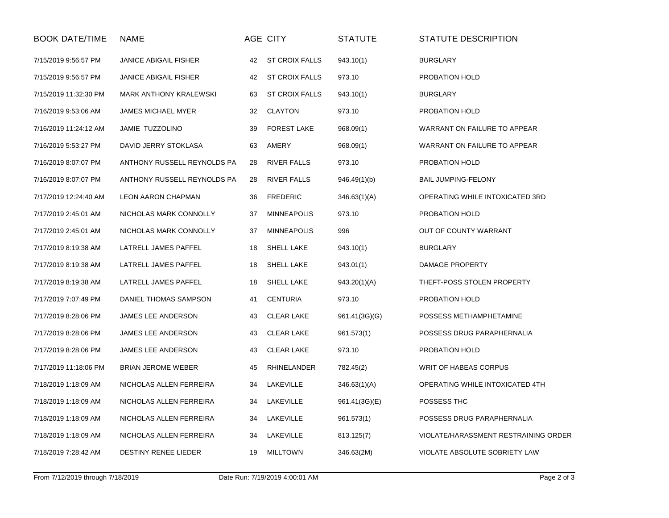| <b>BOOK DATE/TIME</b> | <b>NAME</b>                   |    | AGE CITY              | <b>STATUTE</b> | STATUTE DESCRIPTION                  |
|-----------------------|-------------------------------|----|-----------------------|----------------|--------------------------------------|
| 7/15/2019 9:56:57 PM  | <b>JANICE ABIGAIL FISHER</b>  | 42 | <b>ST CROIX FALLS</b> | 943.10(1)      | <b>BURGLARY</b>                      |
| 7/15/2019 9:56:57 PM  | <b>JANICE ABIGAIL FISHER</b>  | 42 | <b>ST CROIX FALLS</b> | 973.10         | PROBATION HOLD                       |
| 7/15/2019 11:32:30 PM | <b>MARK ANTHONY KRALEWSKI</b> | 63 | <b>ST CROIX FALLS</b> | 943.10(1)      | <b>BURGLARY</b>                      |
| 7/16/2019 9:53:06 AM  | JAMES MICHAEL MYER            | 32 | <b>CLAYTON</b>        | 973.10         | PROBATION HOLD                       |
| 7/16/2019 11:24:12 AM | JAMIE TUZZOLINO               | 39 | <b>FOREST LAKE</b>    | 968.09(1)      | WARRANT ON FAILURE TO APPEAR         |
| 7/16/2019 5:53:27 PM  | DAVID JERRY STOKLASA          | 63 | AMERY                 | 968.09(1)      | WARRANT ON FAILURE TO APPEAR         |
| 7/16/2019 8:07:07 PM  | ANTHONY RUSSELL REYNOLDS PA   | 28 | <b>RIVER FALLS</b>    | 973.10         | PROBATION HOLD                       |
| 7/16/2019 8:07:07 PM  | ANTHONY RUSSELL REYNOLDS PA   | 28 | <b>RIVER FALLS</b>    | 946.49(1)(b)   | <b>BAIL JUMPING-FELONY</b>           |
| 7/17/2019 12:24:40 AM | LEON AARON CHAPMAN            | 36 | <b>FREDERIC</b>       | 346.63(1)(A)   | OPERATING WHILE INTOXICATED 3RD      |
| 7/17/2019 2:45:01 AM  | NICHOLAS MARK CONNOLLY        | 37 | <b>MINNEAPOLIS</b>    | 973.10         | PROBATION HOLD                       |
| 7/17/2019 2:45:01 AM  | NICHOLAS MARK CONNOLLY        | 37 | <b>MINNEAPOLIS</b>    | 996            | OUT OF COUNTY WARRANT                |
| 7/17/2019 8:19:38 AM  | LATRELL JAMES PAFFEL          | 18 | <b>SHELL LAKE</b>     | 943.10(1)      | <b>BURGLARY</b>                      |
| 7/17/2019 8:19:38 AM  | LATRELL JAMES PAFFEL          | 18 | <b>SHELL LAKE</b>     | 943.01(1)      | DAMAGE PROPERTY                      |
| 7/17/2019 8:19:38 AM  | LATRELL JAMES PAFFEL          | 18 | <b>SHELL LAKE</b>     | 943.20(1)(A)   | THEFT-POSS STOLEN PROPERTY           |
| 7/17/2019 7:07:49 PM  | DANIEL THOMAS SAMPSON         | 41 | <b>CENTURIA</b>       | 973.10         | PROBATION HOLD                       |
| 7/17/2019 8:28:06 PM  | JAMES LEE ANDERSON            | 43 | <b>CLEAR LAKE</b>     | 961.41(3G)(G)  | POSSESS METHAMPHETAMINE              |
| 7/17/2019 8:28:06 PM  | JAMES LEE ANDERSON            | 43 | <b>CLEAR LAKE</b>     | 961.573(1)     | POSSESS DRUG PARAPHERNALIA           |
| 7/17/2019 8:28:06 PM  | JAMES LEE ANDERSON            | 43 | <b>CLEAR LAKE</b>     | 973.10         | PROBATION HOLD                       |
| 7/17/2019 11:18:06 PM | <b>BRIAN JEROME WEBER</b>     | 45 | RHINELANDER           | 782.45(2)      | WRIT OF HABEAS CORPUS                |
| 7/18/2019 1:18:09 AM  | NICHOLAS ALLEN FERREIRA       | 34 | LAKEVILLE             | 346.63(1)(A)   | OPERATING WHILE INTOXICATED 4TH      |
| 7/18/2019 1:18:09 AM  | NICHOLAS ALLEN FERREIRA       | 34 | LAKEVILLE             | 961.41(3G)(E)  | POSSESS THC                          |
| 7/18/2019 1:18:09 AM  | NICHOLAS ALLEN FERREIRA       | 34 | LAKEVILLE             | 961.573(1)     | POSSESS DRUG PARAPHERNALIA           |
| 7/18/2019 1:18:09 AM  | NICHOLAS ALLEN FERREIRA       | 34 | LAKEVILLE             | 813.125(7)     | VIOLATE/HARASSMENT RESTRAINING ORDER |
| 7/18/2019 7:28:42 AM  | DESTINY RENEE LIEDER          | 19 | <b>MILLTOWN</b>       | 346.63(2M)     | VIOLATE ABSOLUTE SOBRIETY LAW        |
|                       |                               |    |                       |                |                                      |